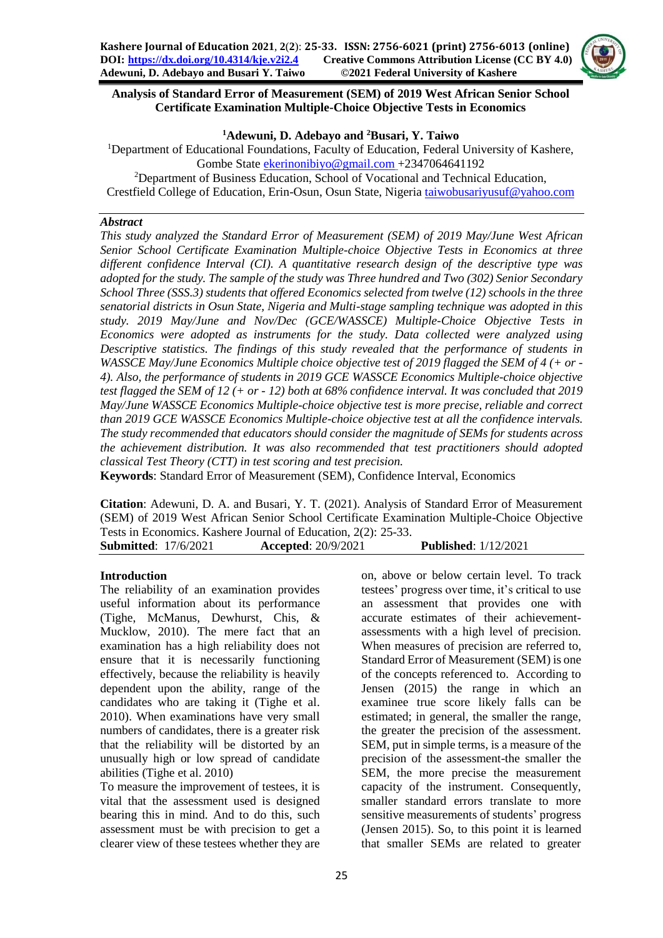

# **Analysis of Standard Error of Measurement (SEM) of 2019 West African Senior School Certificate Examination Multiple-Choice Objective Tests in Economics**

## **<sup>1</sup>Adewuni, D. Adebayo and <sup>2</sup>Busari, Y. Taiwo**

<sup>1</sup>Department of Educational Foundations, Faculty of Education, Federal University of Kashere, Gombe State [ekerinonibiyo@gmail.com](mailto:ekerinonibiyo@gmail.com) +2347064641192 <sup>2</sup>Department of Business Education, School of Vocational and Technical Education, Crestfield College of Education, Erin-Osun, Osun State, Nigeria [taiwobusariyusuf@yahoo.com](mailto:taiwobusariyusuf@yahoo.com)

## *Abstract*

*This study analyzed the Standard Error of Measurement (SEM) of 2019 May/June West African Senior School Certificate Examination Multiple-choice Objective Tests in Economics at three different confidence Interval (CI). A quantitative research design of the descriptive type was adopted for the study. The sample of the study was Three hundred and Two (302) Senior Secondary School Three (SSS.3) students that offered Economics selected from twelve (12) schools in the three senatorial districts in Osun State, Nigeria and Multi-stage sampling technique was adopted in this study. 2019 May/June and Nov/Dec (GCE/WASSCE) Multiple-Choice Objective Tests in Economics were adopted as instruments for the study. Data collected were analyzed using Descriptive statistics. The findings of this study revealed that the performance of students in WASSCE May/June Economics Multiple choice objective test of 2019 flagged the SEM of 4 (+ or - 4). Also, the performance of students in 2019 GCE WASSCE Economics Multiple-choice objective test flagged the SEM of 12 (+ or - 12) both at 68% confidence interval. It was concluded that 2019 May/June WASSCE Economics Multiple-choice objective test is more precise, reliable and correct than 2019 GCE WASSCE Economics Multiple-choice objective test at all the confidence intervals. The study recommended that educators should consider the magnitude of SEMs for students across the achievement distribution. It was also recommended that test practitioners should adopted classical Test Theory (CTT) in test scoring and test precision.*

**Keywords**: Standard Error of Measurement (SEM), Confidence Interval, Economics

**Citation**: Adewuni, D. A. and Busari, Y. T. (2021). Analysis of Standard Error of Measurement (SEM) of 2019 West African Senior School Certificate Examination Multiple-Choice Objective Tests in Economics. Kashere Journal of Education, 2(2): 25-33.

| <b>Submitted: 17/6/2021</b> | <b>Accepted: 20/9/2021</b> | <b>Published:</b> 1/12/2021 |
|-----------------------------|----------------------------|-----------------------------|
|                             |                            |                             |

# **Introduction**

The reliability of an examination provides useful information about its performance (Tighe, McManus, Dewhurst, Chis, & Mucklow, 2010). The mere fact that an examination has a high reliability does not ensure that it is necessarily functioning effectively, because the reliability is heavily dependent upon the ability, range of the candidates who are taking it (Tighe et al. 2010). When examinations have very small numbers of candidates, there is a greater risk that the reliability will be distorted by an unusually high or low spread of candidate abilities (Tighe et al. 2010)

To measure the improvement of testees, it is vital that the assessment used is designed bearing this in mind. And to do this, such assessment must be with precision to get a clearer view of these testees whether they are

on, above or below certain level. To track testees' progress over time, it's critical to use an assessment that provides one with accurate estimates of their achievementassessments with a high level of precision. When measures of precision are referred to, Standard Error of Measurement (SEM) is one of the concepts referenced to. According to Jensen (2015) the range in which an examinee true score likely falls can be estimated; in general, the smaller the range, the greater the precision of the assessment. SEM, put in simple terms, is a measure of the precision of the assessment-the smaller the SEM, the more precise the measurement capacity of the instrument. Consequently, smaller standard errors translate to more sensitive measurements of students' progress (Jensen 2015). So, to this point it is learned that smaller SEMs are related to greater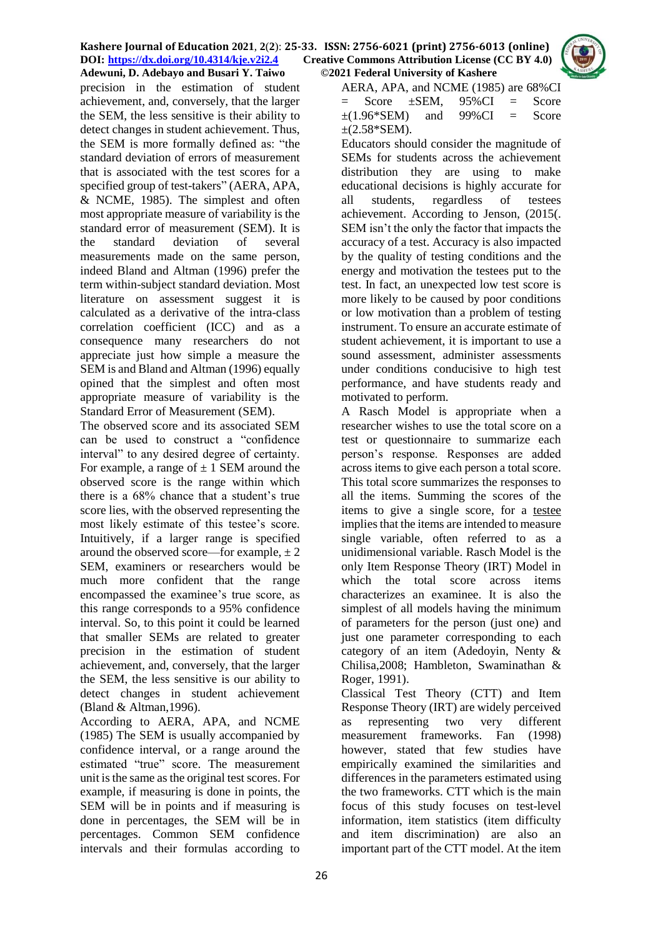

precision in the estimation of student achievement, and, conversely, that the larger the SEM, the less sensitive is their ability to detect changes in student achievement. Thus, the SEM is more formally defined as: "the standard deviation of errors of measurement that is associated with the test scores for a specified group of test-takers" (AERA, APA, & NCME, 1985). The simplest and often most appropriate measure of variability is the standard error of measurement (SEM). It is the standard deviation of several measurements made on the same person, indeed Bland and Altman (1996) prefer the term within-subject standard deviation. Most literature on assessment suggest it is calculated as a derivative of the intra-class correlation coefficient (ICC) and as a consequence many researchers do not appreciate just how simple a measure the SEM is and Bland and Altman (1996) equally opined that the simplest and often most appropriate measure of variability is the Standard Error of Measurement (SEM).

The observed score and its associated SEM can be used to construct a "confidence interval" to any desired degree of certainty. For example, a range of  $\pm$  1 SEM around the observed score is the range within which there is a 68% chance that a student's true score lies, with the observed representing the most likely estimate of this testee's score. Intuitively, if a larger range is specified around the observed score—for example,  $\pm 2$ SEM, examiners or researchers would be much more confident that the range encompassed the examinee's true score, as this range corresponds to a 95% confidence interval. So, to this point it could be learned that smaller SEMs are related to greater precision in the estimation of student achievement, and, conversely, that the larger the SEM, the less sensitive is our ability to detect changes in student achievement (Bland & Altman,1996).

According to AERA, APA, and NCME (1985) The SEM is usually accompanied by confidence interval, or a range around the estimated "true" score. The measurement unit is the same as the original test scores. For example, if measuring is done in points, the SEM will be in points and if measuring is done in percentages, the SEM will be in percentages. Common SEM confidence intervals and their formulas according to

AERA, APA, and NCME (1985) are 68%CI Score  $\pm$ SEM, 95%CI = Score  $\pm$ (1.96\*SEM) and 99%CI = Score  $\pm$ (2.58\*SEM).

Educators should consider the magnitude of SEMs for students across the achievement distribution they are using to make educational decisions is highly accurate for all students, regardless of testees achievement. According to Jenson, (2015(. SEM isn't the only the factor that impacts the accuracy of a test. Accuracy is also impacted by the quality of testing conditions and the energy and motivation the testees put to the test. In fact, an unexpected low test score is more likely to be caused by poor conditions or low motivation than a problem of testing instrument. To ensure an accurate estimate of student achievement, it is important to use a sound assessment, administer assessments under conditions conducisive to high test performance, and have students ready and motivated to perform.

A Rasch Model is appropriate when a researcher wishes to use the total score on a test or questionnaire to summarize each person's response. Responses are added across items to give each person a total score. This total score summarizes the responses to all the items. Summing the scores of the items to give a single score, for a testee implies that the items are intended to measure single variable, often referred to as a unidimensional variable. Rasch Model is the only Item Response Theory (IRT) Model in which the total score across items characterizes an examinee. It is also the simplest of all models having the minimum of parameters for the person (just one) and just one parameter corresponding to each category of an item (Adedoyin, Nenty & Chilisa,2008; Hambleton, Swaminathan & Roger, 1991).

Classical Test Theory (CTT) and Item Response Theory (IRT) are widely perceived as representing two very different measurement frameworks. Fan (1998) however, stated that few studies have empirically examined the similarities and differences in the parameters estimated using the two frameworks. CTT which is the main focus of this study focuses on test-level information, item statistics (item difficulty and item discrimination) are also an important part of the CTT model. At the item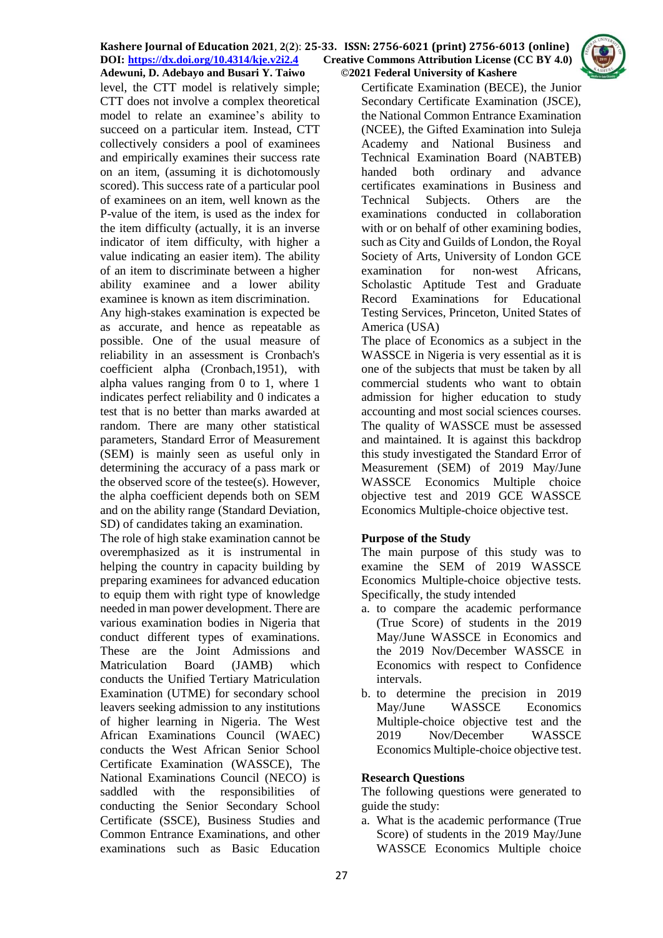level, the CTT model is relatively simple; CTT does not involve a complex theoretical model to relate an examinee's ability to succeed on a particular item. Instead, CTT collectively considers a pool of examinees and empirically examines their success rate on an item, (assuming it is dichotomously scored). This success rate of a particular pool of examinees on an item, well known as the P-value of the item, is used as the index for the item difficulty (actually, it is an inverse indicator of item difficulty, with higher a value indicating an easier item). The ability of an item to discriminate between a higher ability examinee and a lower ability examinee is known as item discrimination.

Any high-stakes examination is expected be as accurate, and hence as repeatable as possible. One of the usual measure of reliability in an assessment is Cronbach's coefficient alpha (Cronbach,1951), with alpha values ranging from 0 to 1, where 1 indicates perfect reliability and 0 indicates a test that is no better than marks awarded at random. There are many other statistical parameters, Standard Error of Measurement (SEM) is mainly seen as useful only in determining the accuracy of a pass mark or the observed score of the testee(s). However, the alpha coefficient depends both on SEM and on the ability range (Standard Deviation, SD) of candidates taking an examination.

The role of high stake examination cannot be overemphasized as it is instrumental in helping the country in capacity building by preparing examinees for advanced education to equip them with right type of knowledge needed in man power development. There are various examination bodies in Nigeria that conduct different types of examinations. These are the Joint Admissions and Matriculation Board (JAMB) which conducts the Unified Tertiary Matriculation Examination (UTME) for secondary school leavers seeking admission to any institutions of higher learning in Nigeria. The West African Examinations Council (WAEC) conducts the West African Senior School Certificate Examination (WASSCE), The National Examinations Council (NECO) is saddled with the responsibilities of conducting the Senior Secondary School Certificate (SSCE), Business Studies and Common Entrance Examinations, and other examinations such as Basic Education

Certificate Examination (BECE), the Junior Secondary Certificate Examination (JSCE), the National Common Entrance Examination (NCEE), the Gifted Examination into Suleja Academy and National Business and Technical Examination Board (NABTEB) handed both ordinary and advance certificates examinations in Business and Technical Subjects. Others are the examinations conducted in collaboration with or on behalf of other examining bodies. such as City and Guilds of London, the Royal Society of Arts, University of London GCE examination for non-west Africans, Scholastic Aptitude Test and Graduate Record Examinations for Educational Testing Services, Princeton, United States of America (USA)

The place of Economics as a subject in the WASSCE in Nigeria is very essential as it is one of the subjects that must be taken by all commercial students who want to obtain admission for higher education to study accounting and most social sciences courses. The quality of WASSCE must be assessed and maintained. It is against this backdrop this study investigated the Standard Error of Measurement (SEM) of 2019 May/June WASSCE Economics Multiple choice objective test and 2019 GCE WASSCE Economics Multiple-choice objective test.

## **Purpose of the Study**

The main purpose of this study was to examine the SEM of 2019 WASSCE Economics Multiple-choice objective tests. Specifically, the study intended

- a. to compare the academic performance (True Score) of students in the 2019 May/June WASSCE in Economics and the 2019 Nov/December WASSCE in Economics with respect to Confidence intervals.
- b. to determine the precision in 2019 May/June WASSCE Economics Multiple-choice objective test and the 2019 Nov/December WASSCE Economics Multiple-choice objective test.

## **Research Questions**

The following questions were generated to guide the study:

a. What is the academic performance (True Score) of students in the 2019 May/June WASSCE Economics Multiple choice

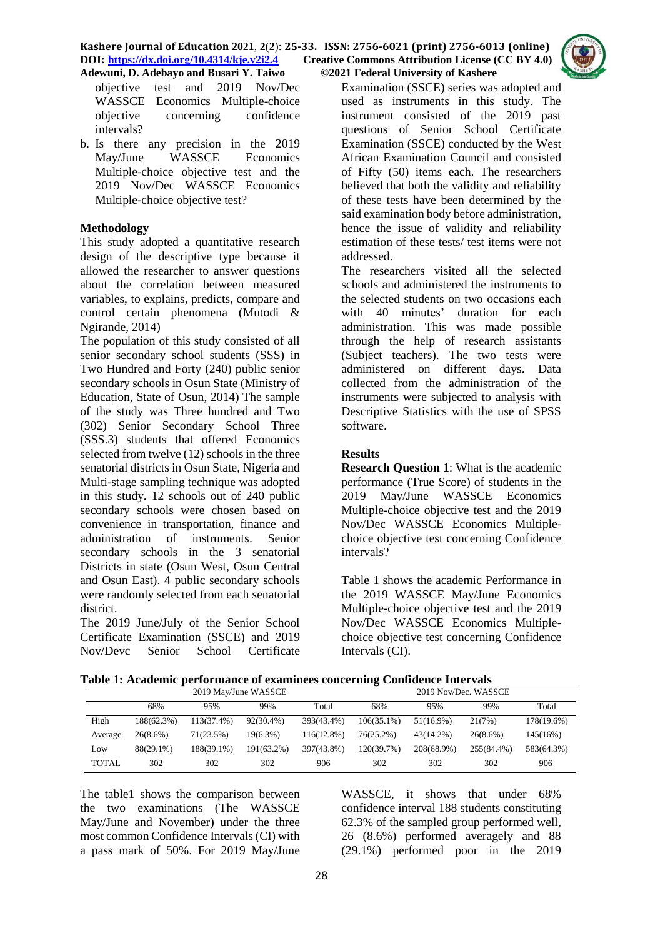

objective test and 2019 Nov/Dec WASSCE Economics Multiple-choice objective concerning confidence intervals?

b. Is there any precision in the 2019 May/June WASSCE Economics Multiple-choice objective test and the 2019 Nov/Dec WASSCE Economics Multiple-choice objective test?

# **Methodology**

This study adopted a quantitative research design of the descriptive type because it allowed the researcher to answer questions about the correlation between measured variables, to explains, predicts, compare and control certain phenomena (Mutodi & Ngirande, 2014)

The population of this study consisted of all senior secondary school students (SSS) in Two Hundred and Forty (240) public senior secondary schools in Osun State (Ministry of Education, State of Osun, 2014) The sample of the study was Three hundred and Two (302) Senior Secondary School Three (SSS.3) students that offered Economics selected from twelve (12) schools in the three senatorial districts in Osun State, Nigeria and Multi-stage sampling technique was adopted in this study. 12 schools out of 240 public secondary schools were chosen based on convenience in transportation, finance and administration of instruments. Senior secondary schools in the 3 senatorial Districts in state (Osun West, Osun Central and Osun East). 4 public secondary schools were randomly selected from each senatorial district.

The 2019 June/July of the Senior School Certificate Examination (SSCE) and 2019 Nov/Devc Senior School Certificate

Examination (SSCE) series was adopted and used as instruments in this study. The instrument consisted of the 2019 past questions of Senior School Certificate Examination (SSCE) conducted by the West African Examination Council and consisted of Fifty (50) items each. The researchers believed that both the validity and reliability of these tests have been determined by the said examination body before administration, hence the issue of validity and reliability estimation of these tests/ test items were not addressed.

The researchers visited all the selected schools and administered the instruments to the selected students on two occasions each with 40 minutes' duration for each administration. This was made possible through the help of research assistants (Subject teachers). The two tests were administered on different days. Data collected from the administration of the instruments were subjected to analysis with Descriptive Statistics with the use of SPSS software.

# **Results**

**Research Question 1**: What is the academic performance (True Score) of students in the 2019 May/June WASSCE Economics Multiple-choice objective test and the 2019 Nov/Dec WASSCE Economics Multiplechoice objective test concerning Confidence intervals?

Table 1 shows the academic Performance in the 2019 WASSCE May/June Economics Multiple-choice objective test and the 2019 Nov/Dec WASSCE Economics Multiplechoice objective test concerning Confidence Intervals (CI).

**Table 1: Academic performance of examinees concerning Confidence Intervals**

|              | 2019 May/June WASSCE |            |             | $\overline{\phantom{a}}$<br>2019 Nov/Dec. WASSCE |               |            |             |            |
|--------------|----------------------|------------|-------------|--------------------------------------------------|---------------|------------|-------------|------------|
|              | 68%                  | 95%        | 99%         | Total                                            | 68%           | 95%        | 99%         | Total      |
| High         | 188(62.3%)           | 113(37.4%) | 92(30.4%)   | 393(43.4%)                                       | $106(35.1\%)$ | 51(16.9%)  | 21(7%)      | 178(19.6%) |
| Average      | $26(8.6\%)$          | 71(23.5%)  | $19(6.3\%)$ | 116(12.8%)                                       | $76(25.2\%)$  | 43(14.2%)  | $26(8.6\%)$ | 145(16%)   |
| Low          | 88(29.1%)            | 188(39.1%) | 191(63.2%)  | 397(43.8%)                                       | 120(39.7%)    | 208(68.9%) | 255(84.4%)  | 583(64.3%) |
| <b>TOTAL</b> | 302                  | 302        | 302         | 906                                              | 302           | 302        | 302         | 906        |

The table1 shows the comparison between the two examinations (The WASSCE May/June and November) under the three most common Confidence Intervals (CI) with a pass mark of 50%. For 2019 May/June

WASSCE, it shows that under 68% confidence interval 188 students constituting 62.3% of the sampled group performed well, 26 (8.6%) performed averagely and 88 (29.1%) performed poor in the 2019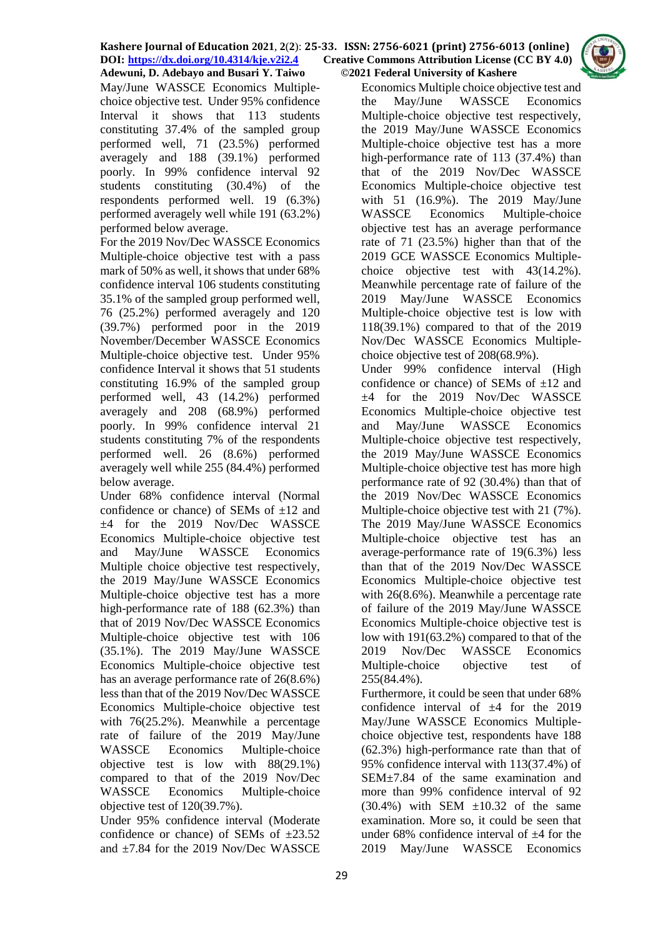May/June WASSCE Economics Multiplechoice objective test. Under 95% confidence Interval it shows that 113 students constituting 37.4% of the sampled group performed well, 71 (23.5%) performed averagely and 188 (39.1%) performed poorly. In 99% confidence interval 92 students constituting (30.4%) of the respondents performed well. 19 (6.3%) performed averagely well while 191 (63.2%) performed below average.

For the 2019 Nov/Dec WASSCE Economics Multiple-choice objective test with a pass mark of 50% as well, it shows that under 68% confidence interval 106 students constituting 35.1% of the sampled group performed well, 76 (25.2%) performed averagely and 120 (39.7%) performed poor in the 2019 November/December WASSCE Economics Multiple-choice objective test. Under 95% confidence Interval it shows that 51 students constituting 16.9% of the sampled group performed well, 43 (14.2%) performed averagely and 208 (68.9%) performed poorly. In 99% confidence interval 21 students constituting 7% of the respondents performed well. 26 (8.6%) performed averagely well while 255 (84.4%) performed below average.

Under 68% confidence interval (Normal confidence or chance) of SEMs of  $\pm 12$  and ±4 for the 2019 Nov/Dec WASSCE Economics Multiple-choice objective test and May/June WASSCE Economics Multiple choice objective test respectively, the 2019 May/June WASSCE Economics Multiple-choice objective test has a more high-performance rate of 188 (62.3%) than that of 2019 Nov/Dec WASSCE Economics Multiple-choice objective test with 106 (35.1%). The 2019 May/June WASSCE Economics Multiple-choice objective test has an average performance rate of 26(8.6%) less than that of the 2019 Nov/Dec WASSCE Economics Multiple-choice objective test with 76(25.2%). Meanwhile a percentage rate of failure of the 2019 May/June WASSCE Economics Multiple-choice objective test is low with 88(29.1%) compared to that of the 2019 Nov/Dec WASSCE Economics Multiple-choice objective test of 120(39.7%).

Under 95% confidence interval (Moderate confidence or chance) of SEMs of  $\pm 23.52$ and ±7.84 for the 2019 Nov/Dec WASSCE

Economics Multiple choice objective test and the May/June WASSCE Economics Multiple-choice objective test respectively, the 2019 May/June WASSCE Economics Multiple-choice objective test has a more high-performance rate of 113 (37.4%) than that of the 2019 Nov/Dec WASSCE Economics Multiple-choice objective test with 51 (16.9%). The 2019 May/June WASSCE Economics Multiple-choice objective test has an average performance rate of 71 (23.5%) higher than that of the 2019 GCE WASSCE Economics Multiplechoice objective test with 43(14.2%). Meanwhile percentage rate of failure of the 2019 May/June WASSCE Economics Multiple-choice objective test is low with 118(39.1%) compared to that of the 2019 Nov/Dec WASSCE Economics Multiplechoice objective test of 208(68.9%).

Under 99% confidence interval (High confidence or chance) of SEMs of  $\pm 12$  and ±4 for the 2019 Nov/Dec WASSCE Economics Multiple-choice objective test and May/June WASSCE Economics Multiple-choice objective test respectively, the 2019 May/June WASSCE Economics Multiple-choice objective test has more high performance rate of 92 (30.4%) than that of the 2019 Nov/Dec WASSCE Economics Multiple-choice objective test with 21 (7%). The 2019 May/June WASSCE Economics Multiple-choice objective test has an average-performance rate of 19(6.3%) less than that of the 2019 Nov/Dec WASSCE Economics Multiple-choice objective test with 26(8.6%). Meanwhile a percentage rate of failure of the 2019 May/June WASSCE Economics Multiple-choice objective test is low with 191(63.2%) compared to that of the 2019 Nov/Dec WASSCE Economics Multiple-choice objective test of 255(84.4%).

Furthermore, it could be seen that under 68% confidence interval of ±4 for the 2019 May/June WASSCE Economics Multiplechoice objective test, respondents have 188 (62.3%) high-performance rate than that of 95% confidence interval with 113(37.4%) of SEM±7.84 of the same examination and more than 99% confidence interval of 92  $(30.4\%)$  with SEM  $\pm 10.32$  of the same examination. More so, it could be seen that under 68% confidence interval of  $\pm 4$  for the 2019 May/June WASSCE Economics

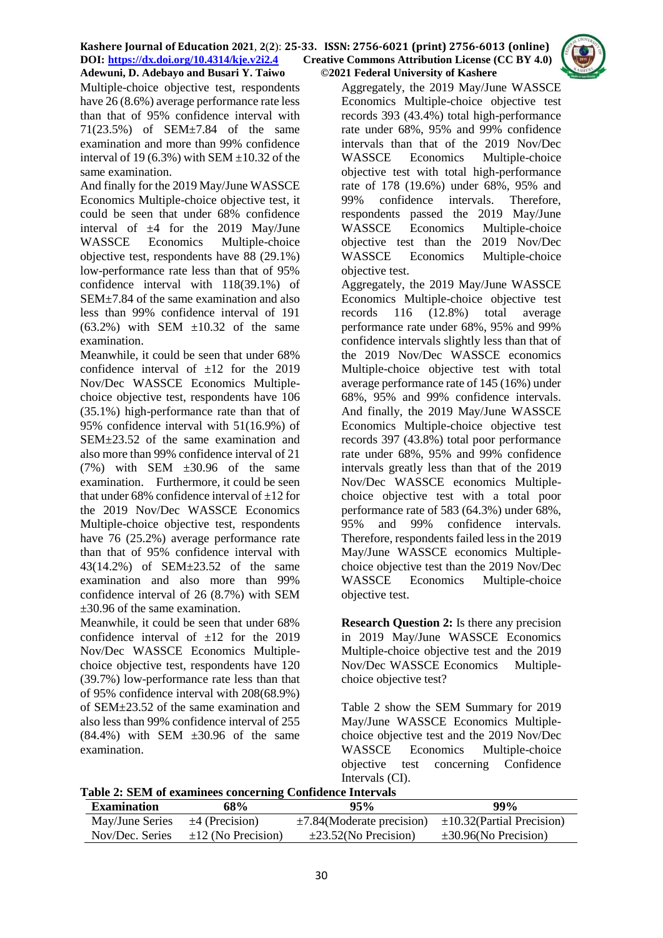Multiple-choice objective test, respondents have 26 (8.6%) average performance rate less than that of 95% confidence interval with 71(23.5%) of SEM±7.84 of the same examination and more than 99% confidence interval of 19 (6.3%) with SEM  $\pm$ 10.32 of the same examination.

And finally for the 2019 May/June WASSCE Economics Multiple-choice objective test, it could be seen that under 68% confidence interval of  $\pm 4$  for the 2019 May/June WASSCE Economics Multiple-choice objective test, respondents have 88 (29.1%) low-performance rate less than that of 95% confidence interval with 118(39.1%) of SEM±7.84 of the same examination and also less than 99% confidence interval of 191  $(63.2\%)$  with SEM  $\pm 10.32$  of the same examination.

Meanwhile, it could be seen that under 68% confidence interval of  $\pm 12$  for the 2019 Nov/Dec WASSCE Economics Multiplechoice objective test, respondents have 106 (35.1%) high-performance rate than that of 95% confidence interval with 51(16.9%) of SEM±23.52 of the same examination and also more than 99% confidence interval of 21  $(7%)$  with SEM  $\pm 30.96$  of the same examination. Furthermore, it could be seen that under 68% confidence interval of  $\pm 12$  for the 2019 Nov/Dec WASSCE Economics Multiple-choice objective test, respondents have 76 (25.2%) average performance rate than that of 95% confidence interval with 43(14.2%) of SEM±23.52 of the same examination and also more than 99% confidence interval of 26 (8.7%) with SEM ±30.96 of the same examination.

Meanwhile, it could be seen that under 68% confidence interval of  $\pm 12$  for the 2019 Nov/Dec WASSCE Economics Multiplechoice objective test, respondents have 120 (39.7%) low-performance rate less than that of 95% confidence interval with 208(68.9%) of SEM±23.52 of the same examination and also less than 99% confidence interval of 255  $(84.4\%)$  with SEM  $\pm 30.96$  of the same examination.

Aggregately, the 2019 May/June WASSCE Economics Multiple-choice objective test records 393 (43.4%) total high-performance rate under 68%, 95% and 99% confidence intervals than that of the 2019 Nov/Dec WASSCE Economics Multiple-choice objective test with total high-performance rate of 178 (19.6%) under 68%, 95% and 99% confidence intervals. Therefore, respondents passed the 2019 May/June WASSCE Economics Multiple-choice objective test than the 2019 Nov/Dec WASSCE Economics Multiple-choice objective test.

Aggregately, the 2019 May/June WASSCE Economics Multiple-choice objective test records 116 (12.8%) total average performance rate under 68%, 95% and 99% confidence intervals slightly less than that of the 2019 Nov/Dec WASSCE economics Multiple-choice objective test with total average performance rate of 145 (16%) under 68%, 95% and 99% confidence intervals. And finally, the 2019 May/June WASSCE Economics Multiple-choice objective test records 397 (43.8%) total poor performance rate under 68%, 95% and 99% confidence intervals greatly less than that of the 2019 Nov/Dec WASSCE economics Multiplechoice objective test with a total poor performance rate of 583 (64.3%) under 68%, 95% and 99% confidence intervals. Therefore, respondents failed less in the 2019 May/June WASSCE economics Multiplechoice objective test than the 2019 Nov/Dec WASSCE Economics Multiple-choice objective test.

**Research Question 2:** Is there any precision in 2019 May/June WASSCE Economics Multiple-choice objective test and the 2019 Nov/Dec WASSCE Economics Multiplechoice objective test?

Table 2 show the SEM Summary for 2019 May/June WASSCE Economics Multiplechoice objective test and the 2019 Nov/Dec WASSCE Economics Multiple-choice objective test concerning Confidence Intervals (CI).

**Table 2: SEM of examinees concerning Confidence Intervals**

| <b>Examination</b>                  | 68%                                     | $95\%$                                                        | 99%                        |
|-------------------------------------|-----------------------------------------|---------------------------------------------------------------|----------------------------|
| May/June Series $\pm 4$ (Precision) |                                         | $\pm$ 7.84(Moderate precision) $\pm$ 10.32(Partial Precision) |                            |
|                                     | Nov/Dec. Series $\pm 12$ (No Precision) | $\pm 23.52$ (No Precision)                                    | $\pm 30.96$ (No Precision) |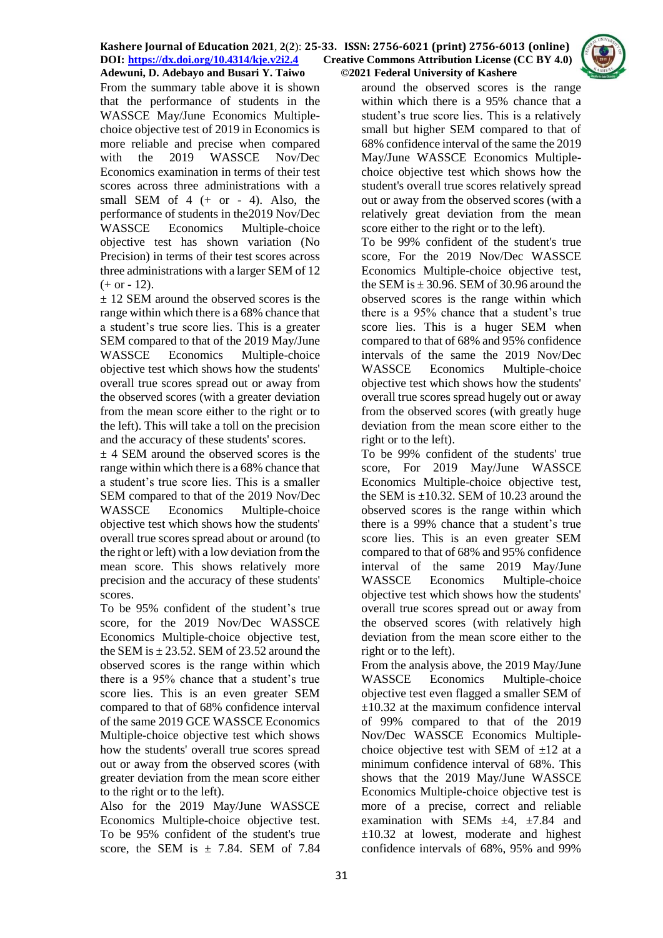From the summary table above it is shown that the performance of students in the WASSCE May/June Economics Multiplechoice objective test of 2019 in Economics is more reliable and precise when compared with the 2019 WASSCE Nov/Dec Economics examination in terms of their test scores across three administrations with a small SEM of  $4$  (+ or - 4). Also, the performance of students in the2019 Nov/Dec WASSCE Economics Multiple-choice objective test has shown variation (No Precision) in terms of their test scores across three administrations with a larger SEM of 12  $(+ or - 12).$ 

± 12 SEM around the observed scores is the range within which there is a 68% chance that a student's true score lies. This is a greater SEM compared to that of the 2019 May/June WASSCE Economics Multiple-choice objective test which shows how the students' overall true scores spread out or away from the observed scores (with a greater deviation from the mean score either to the right or to the left). This will take a toll on the precision and the accuracy of these students' scores.

 $\pm$  4 SEM around the observed scores is the range within which there is a 68% chance that a student's true score lies. This is a smaller SEM compared to that of the 2019 Nov/Dec WASSCE Economics Multiple-choice objective test which shows how the students' overall true scores spread about or around (to the right or left) with a low deviation from the mean score. This shows relatively more precision and the accuracy of these students' scores.

To be 95% confident of the student's true score, for the 2019 Nov/Dec WASSCE Economics Multiple-choice objective test, the SEM is  $\pm$  23.52. SEM of 23.52 around the observed scores is the range within which there is a 95% chance that a student's true score lies. This is an even greater SEM compared to that of 68% confidence interval of the same 2019 GCE WASSCE Economics Multiple-choice objective test which shows how the students' overall true scores spread out or away from the observed scores (with greater deviation from the mean score either to the right or to the left).

Also for the 2019 May/June WASSCE Economics Multiple-choice objective test. To be 95% confident of the student's true score, the SEM is  $\pm$  7.84. SEM of 7.84

around the observed scores is the range within which there is a 95% chance that a student's true score lies. This is a relatively small but higher SEM compared to that of 68% confidence interval of the same the 2019 May/June WASSCE Economics Multiplechoice objective test which shows how the student's overall true scores relatively spread out or away from the observed scores (with a relatively great deviation from the mean score either to the right or to the left).

To be 99% confident of the student's true score, For the 2019 Nov/Dec WASSCE Economics Multiple-choice objective test, the SEM is  $\pm$  30.96. SEM of 30.96 around the observed scores is the range within which there is a 95% chance that a student's true score lies. This is a huger SEM when compared to that of 68% and 95% confidence intervals of the same the 2019 Nov/Dec WASSCE Economics Multiple-choice objective test which shows how the students' overall true scores spread hugely out or away from the observed scores (with greatly huge deviation from the mean score either to the right or to the left).

To be 99% confident of the students' true score, For 2019 May/June WASSCE Economics Multiple-choice objective test, the SEM is  $\pm$ 10.32. SEM of 10.23 around the observed scores is the range within which there is a 99% chance that a student's true score lies. This is an even greater SEM compared to that of 68% and 95% confidence interval of the same 2019 May/June WASSCE Economics Multiple-choice objective test which shows how the students' overall true scores spread out or away from the observed scores (with relatively high deviation from the mean score either to the right or to the left).

From the analysis above, the 2019 May/June WASSCE Economics Multiple-choice objective test even flagged a smaller SEM of  $\pm 10.32$  at the maximum confidence interval of 99% compared to that of the 2019 Nov/Dec WASSCE Economics Multiplechoice objective test with SEM of  $\pm 12$  at a minimum confidence interval of 68%. This shows that the 2019 May/June WASSCE Economics Multiple-choice objective test is more of a precise, correct and reliable examination with SEMs  $\pm 4$ ,  $\pm 7.84$  and  $\pm 10.32$  at lowest, moderate and highest confidence intervals of 68%, 95% and 99%

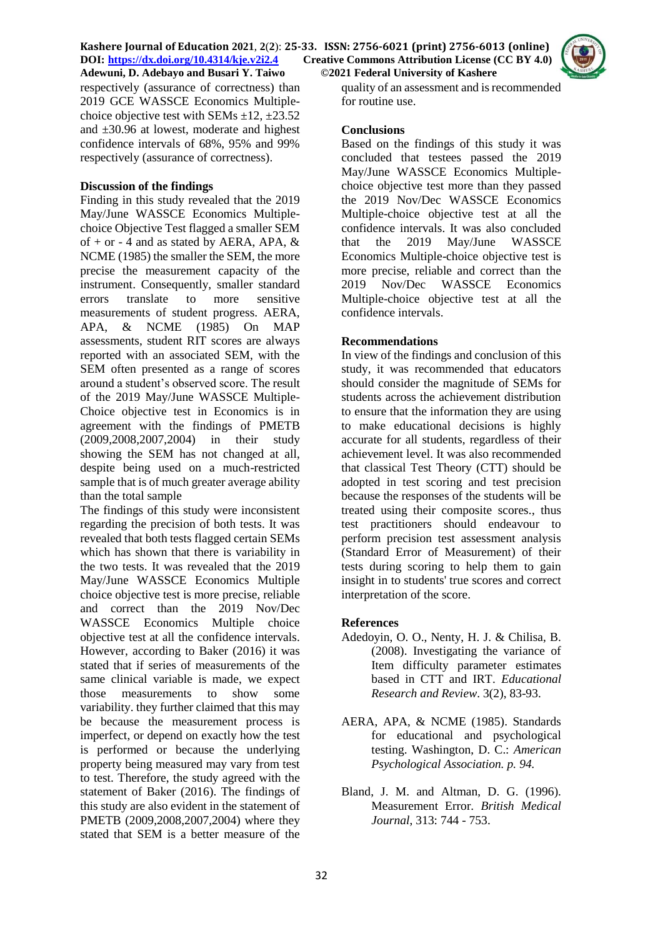

respectively (assurance of correctness) than 2019 GCE WASSCE Economics Multiplechoice objective test with SEMs  $\pm$ 12,  $\pm$ 23.52 and ±30.96 at lowest, moderate and highest confidence intervals of 68%, 95% and 99% respectively (assurance of correctness).

## **Discussion of the findings**

Finding in this study revealed that the 2019 May/June WASSCE Economics Multiplechoice Objective Test flagged a smaller SEM of  $+$  or  $-$  4 and as stated by AERA, APA, & NCME (1985) the smaller the SEM, the more precise the measurement capacity of the instrument. Consequently, smaller standard errors translate to more sensitive measurements of student progress. AERA, APA, & NCME (1985) On MAP assessments, student RIT scores are always reported with an associated SEM, with the SEM often presented as a range of scores around a student's observed score. The result of the 2019 May/June WASSCE Multiple-Choice objective test in Economics is in agreement with the findings of PMETB (2009,2008,2007,2004) in their study showing the SEM has not changed at all, despite being used on a much-restricted sample that is of much greater average ability than the total sample

The findings of this study were inconsistent regarding the precision of both tests. It was revealed that both tests flagged certain SEMs which has shown that there is variability in the two tests. It was revealed that the 2019 May/June WASSCE Economics Multiple choice objective test is more precise, reliable and correct than the 2019 Nov/Dec WASSCE Economics Multiple choice objective test at all the confidence intervals. However, according to Baker (2016) it was stated that if series of measurements of the same clinical variable is made, we expect those measurements to show some variability. they further claimed that this may be because the measurement process is imperfect, or depend on exactly how the test is performed or because the underlying property being measured may vary from test to test. Therefore, the study agreed with the statement of Baker (2016). The findings of this study are also evident in the statement of PMETB (2009,2008,2007,2004) where they stated that SEM is a better measure of the

quality of an assessment and is recommended for routine use.

### **Conclusions**

Based on the findings of this study it was concluded that testees passed the 2019 May/June WASSCE Economics Multiplechoice objective test more than they passed the 2019 Nov/Dec WASSCE Economics Multiple-choice objective test at all the confidence intervals. It was also concluded that the 2019 May/June WASSCE Economics Multiple-choice objective test is more precise, reliable and correct than the 2019 Nov/Dec WASSCE Economics Multiple-choice objective test at all the confidence intervals.

### **Recommendations**

In view of the findings and conclusion of this study, it was recommended that educators should consider the magnitude of SEMs for students across the achievement distribution to ensure that the information they are using to make educational decisions is highly accurate for all students, regardless of their achievement level. It was also recommended that classical Test Theory (CTT) should be adopted in test scoring and test precision because the responses of the students will be treated using their composite scores., thus test practitioners should endeavour to perform precision test assessment analysis (Standard Error of Measurement) of their tests during scoring to help them to gain insight in to students' true scores and correct interpretation of the score.

## **References**

- Adedoyin, O. O., Nenty, H. J. & Chilisa, B. (2008). Investigating the variance of Item difficulty parameter estimates based in CTT and IRT. *Educational Research and Review*. 3(2), 83-93.
- AERA, APA, & NCME (1985). Standards for educational and psychological testing. Washington, D. C.: *American Psychological Association. p. 94.*
- Bland, J. M. and Altman, D. G. (1996). Measurement Error*. British Medical Journal*, 313: 744 - 753.